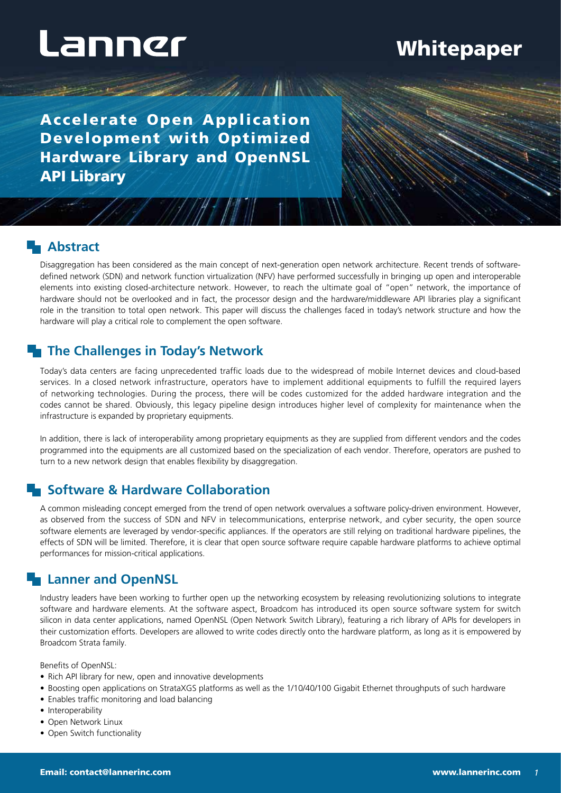## **Whitepaper**

Accelerate Open Application Development with Optimized Hardware Library and OpenNSL API Library

**SANAT NOW** 

#### **Abstract**

Disaggregation has been considered as the main concept of next-generation open network architecture. Recent trends of softwaredefined network (SDN) and network function virtualization (NFV) have performed successfully in bringing up open and interoperable elements into existing closed-architecture network. However, to reach the ultimate goal of "open" network, the importance of hardware should not be overlooked and in fact, the processor design and the hardware/middleware API libraries play a significant role in the transition to total open network. This paper will discuss the challenges faced in today's network structure and how the hardware will play a critical role to complement the open software.

 $\mathscr{A}$ 

### **The Challenges in Today's Network**

Today's data centers are facing unprecedented traffic loads due to the widespread of mobile Internet devices and cloud-based services. In a closed network infrastructure, operators have to implement additional equipments to fulfill the required layers of networking technologies. During the process, there will be codes customized for the added hardware integration and the codes cannot be shared. Obviously, this legacy pipeline design introduces higher level of complexity for maintenance when the infrastructure is expanded by proprietary equipments.

In addition, there is lack of interoperability among proprietary equipments as they are supplied from different vendors and the codes programmed into the equipments are all customized based on the specialization of each vendor. Therefore, operators are pushed to turn to a new network design that enables flexibility by disaggregation.

### **Example 3 Hardware Collaboration**

A common misleading concept emerged from the trend of open network overvalues a software policy-driven environment. However, as observed from the success of SDN and NFV in telecommunications, enterprise network, and cyber security, the open source software elements are leveraged by vendor-specific appliances. If the operators are still relying on traditional hardware pipelines, the effects of SDN will be limited. Therefore, it is clear that open source software require capable hardware platforms to achieve optimal performances for mission-critical applications.

### **Lanner and OpenNSL**

Industry leaders have been working to further open up the networking ecosystem by releasing revolutionizing solutions to integrate software and hardware elements. At the software aspect, Broadcom has introduced its open source software system for switch silicon in data center applications, named OpenNSL (Open Network Switch Library), featuring a rich library of APIs for developers in their customization efforts. Developers are allowed to write codes directly onto the hardware platform, as long as it is empowered by Broadcom Strata family.

Benefits of OpenNSL:

- Rich API library for new, open and innovative developments
- Boosting open applications on StrataXGS platforms as well as the 1/10/40/100 Gigabit Ethernet throughputs of such hardware
- Enables traffic monitoring and load balancing
- Interoperability
- Open Network Linux
- Open Switch functionality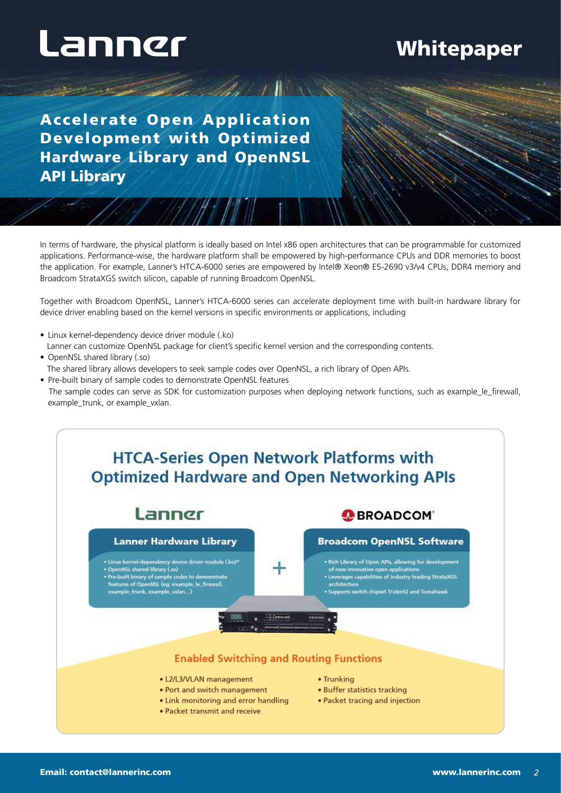## Whitepaper

Accelerate Open Application Development with Optimized Hardware Library and OpenNSL API Library

In terms of hardware, the physical platform is ideally based on Intel x86 open architectures that can be programmable for customized applications. Performance-wise, the hardware platform shall be empowered by high-performance CPUs and DDR memories to boost the application. For example, Lanner's HTCA-6000 series are empowered by Intel® Xeon® E5-2690 v3/v4 CPUs, DDR4 memory and Broadcom StrataXGS switch silicon, capable of running Broadcom OpenNSL.

 $\mathscr{A}_{\mathscr{A}}$ 

Together with Broadcom OpenNSL, Lanner's HTCA-6000 series can accelerate deployment time with built-in hardware library for device driver enabling based on the kernel versions in specific environments or applications, including

- Linux kernel-dependency device driver module (.ko) Lanner can customize OpenNSL package for client's specific kernel version and the corresponding contents.
- OpenNSL shared library (.so) The shared library allows developers to seek sample codes over OpenNSL, a rich library of Open APIs.
- Pre-built binary of sample codes to demonstrate OpenNSL features
- The sample codes can serve as SDK for customization purposes when deploying network functions, such as example\_le\_firewall, example\_trunk, or example\_vxlan.

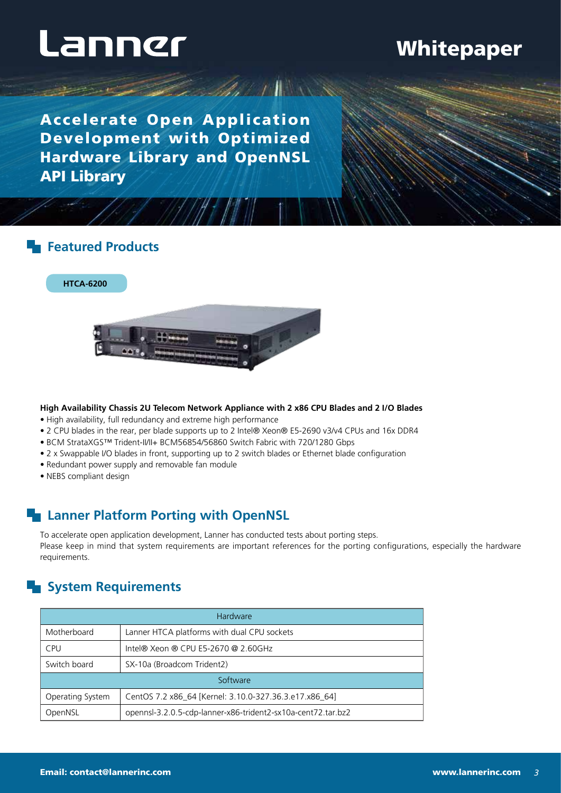## Whitepaper

Accelerate Open Application Development with Optimized Hardware Library and OpenNSL API Library

WAA FIN

#### **Featured Products**

**HTCA-6200**



#### **High Availability Chassis 2U Telecom Network Appliance with 2 x86 CPU Blades and 2 I/O Blades**

- High availability, full redundancy and extreme high performance
- 2 CPU blades in the rear, per blade supports up to 2 Intel® Xeon® E5-2690 v3/v4 CPUs and 16x DDR4
- BCM StrataXGS™ Trident-II/II+ BCM56854/56860 Switch Fabric with 720/1280 Gbps
- 2 x Swappable I/O blades in front, supporting up to 2 switch blades or Ethernet blade configuration
- Redundant power supply and removable fan module
- NEBS compliant design

### **Lanner Platform Porting with OpenNSL**

To accelerate open application development, Lanner has conducted tests about porting steps. Please keep in mind that system requirements are important references for the porting configurations, especially the hardware requirements.

111111

## **System Requirements**

| Hardware         |                                                              |
|------------------|--------------------------------------------------------------|
| Motherboard      | Lanner HTCA platforms with dual CPU sockets                  |
| <b>CPU</b>       | Intel® Xeon ® CPU E5-2670 @ 2.60GHz                          |
| Switch board     | SX-10a (Broadcom Trident2)                                   |
| Software         |                                                              |
| Operating System | CentOS 7.2 x86_64 [Kernel: 3.10.0-327.36.3.e17.x86_64]       |
| OpenNSL          | opennsl-3.2.0.5-cdp-lanner-x86-trident2-sx10a-cent72.tar.bz2 |